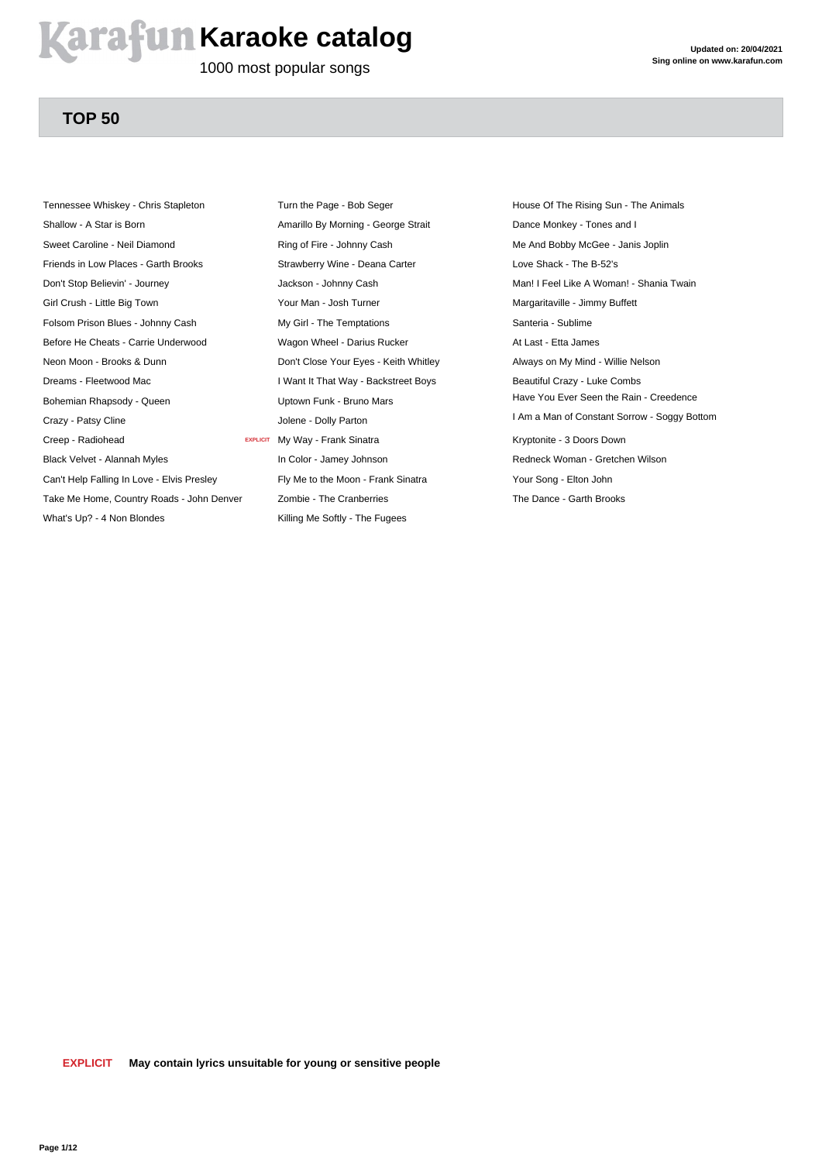### **Arafun Karaoke catalog**

1000 most popular songs

### **TOP 50**

Tennessee Whiskey - Chris Stapleton Shallow - A Star is Born Sweet Caroline - Neil Diamond Friends in Low Places - Garth Brooks Don't Stop Believin' - Journey Girl Crush - Little Big Town Folsom Prison Blues - Johnny Cash Before He Cheats - Carrie Underwood Neon Moon - Brooks & Dunn Dreams - Fleetwood Mac Bohemian Rhapsody - Queen Crazy - Patsy Cline Creep - Radiohead Black Velvet - Alannah Myles Can't Help Falling In Love - Elvis Presley Take Me Home, Country Roads - John Denver What's Up? - 4 Non Blondes

Turn the Page - Bob Seger Amarillo By Morning - George Strait Ring of Fire - Johnny Cash Strawberry Wine - Deana Carter Jackson - Johnny Cash Your Man - Josh Turner My Girl - The Temptations Wagon Wheel - Darius Rucker Don't Close Your Eyes - Keith Whitley I Want It That Way - Backstreet Boys Uptown Funk - Bruno Mars Jolene - Dolly Parton **EXPLICIT** My Way - Frank Sinatra In Color - Jamey Johnson Fly Me to the Moon - Frank Sinatra Zombie - The Cranberries Killing Me Softly - The Fugees

House Of The Rising Sun - The Animals Dance Monkey - Tones and I Me And Bobby McGee - Janis Joplin Love Shack - The B-52's Man! I Feel Like A Woman! - Shania Twain Margaritaville - Jimmy Buffett Santeria - Sublime At Last - Etta James Always on My Mind - Willie Nelson Beautiful Crazy - Luke Combs Have You Ever Seen the Rain - Creedence I Am a Man of Constant Sorrow - Soggy Bottom Kryptonite - 3 Doors Down Redneck Woman - Gretchen Wilson Your Song - Elton John The Dance - Garth Brooks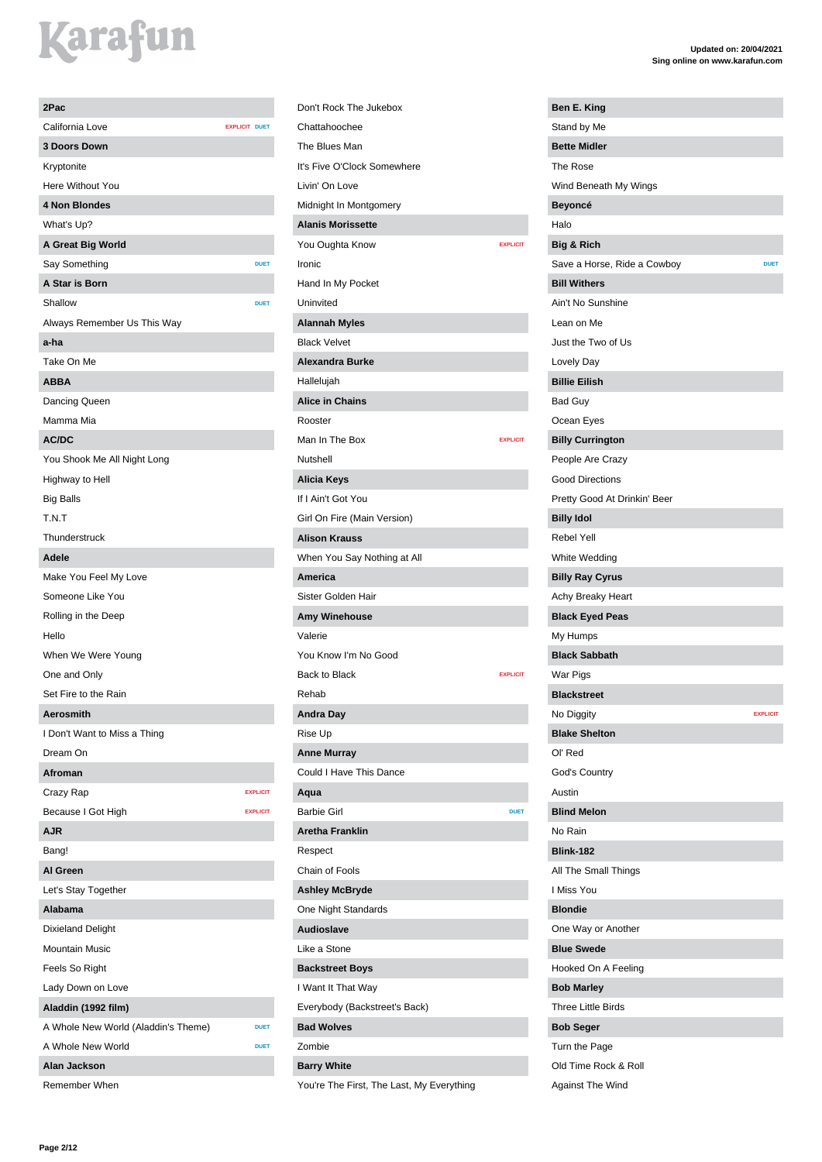| 2Pac                                |                      |                 |
|-------------------------------------|----------------------|-----------------|
| California Love                     | <b>EXPLICIT DUET</b> |                 |
| <b>3 Doors Down</b>                 |                      |                 |
| Kryptonite                          |                      |                 |
| Here Without You                    |                      |                 |
| <b>4 Non Blondes</b>                |                      |                 |
| What's Up?                          |                      |                 |
| A Great Big World                   |                      |                 |
| Say Something                       |                      | <b>DUET</b>     |
| A Star is Born                      |                      |                 |
| Shallow                             |                      | <b>DUET</b>     |
| Always Remember Us This Way         |                      |                 |
| a-ha                                |                      |                 |
| Take On Me                          |                      |                 |
| <b>ABBA</b>                         |                      |                 |
| Dancing Queen                       |                      |                 |
| Mamma Mia                           |                      |                 |
| AC/DC                               |                      |                 |
| You Shook Me All Night Long         |                      |                 |
| Highway to Hell                     |                      |                 |
| <b>Big Balls</b>                    |                      |                 |
| T.N.T                               |                      |                 |
| Thunderstruck                       |                      |                 |
| Adele                               |                      |                 |
|                                     |                      |                 |
| Make You Feel My Love               |                      |                 |
| Someone Like You                    |                      |                 |
| Rolling in the Deep                 |                      |                 |
| Hello                               |                      |                 |
| When We Were Young                  |                      |                 |
| One and Only                        |                      |                 |
| Set Fire to the Rain                |                      |                 |
| Aerosmith                           |                      |                 |
| I Don't Want to Miss a Thing        |                      |                 |
| Dream On                            |                      |                 |
| Afroman                             |                      |                 |
| Crazy Rap                           |                      | <b>EXPLICIT</b> |
| Because I Got High                  |                      | <b>EXPLICIT</b> |
| AJR                                 |                      |                 |
| Bang!                               |                      |                 |
| Al Green                            |                      |                 |
| Let's Stay Together                 |                      |                 |
| Alabama                             |                      |                 |
| <b>Dixieland Delight</b>            |                      |                 |
| <b>Mountain Music</b>               |                      |                 |
| Feels So Right                      |                      |                 |
| Lady Down on Love                   |                      |                 |
| Aladdin (1992 film)                 |                      |                 |
| A Whole New World (Aladdin's Theme) |                      | <b>DUET</b>     |
| A Whole New World                   |                      | <b>DUET</b>     |
| Alan Jackson                        |                      |                 |

Remember When

Don't Rock The Jukebox Chattahoochee The Blues Man It's Five O'Clock Somewhere Livin' On Love Midnight In Montgomery **Alanis Morissette** You Oughta Know **EXPLICIT** Ironic Hand In My Pocket Uninvited **Alannah Myles** Black Velvet **Alexandra Burke** Hallelujah **Alice in Chains** Rooster Man In The Box **EXPLICIT** Nutshell **Alicia Keys** If I Ain't Got You Girl On Fire (Main Version) **Alison Krauss** When You Say Nothing at All **America** Sister Golden Hair **Amy Winehouse** Valerie You Know I'm No Good Back to Black **EXPLICIT** Rehab **Andra Day** Rise Up **Anne Murray** Could I Have This Dance **Aqua** Barbie Girl **DUET Aretha Franklin** Respect Chain of Fools **Ashley McBryde** One Night Standards **Audioslave** Like a Stone **Backstreet Boys** I Want It That Way Everybody (Backstreet's Back)

**Bad Wolves** Zombie **Barry White**

You're The First, The Last, My Everything

| Ben E. King                  |                 |
|------------------------------|-----------------|
| Stand by Me                  |                 |
| <b>Bette Midler</b>          |                 |
| The Rose                     |                 |
| Wind Beneath My Wings        |                 |
| <b>Beyoncé</b>               |                 |
| Halo                         |                 |
| Big & Rich                   |                 |
| Save a Horse, Ride a Cowboy  | <b>DUET</b>     |
| <b>Bill Withers</b>          |                 |
| Ain't No Sunshine            |                 |
| Lean on Me                   |                 |
| Just the Two of Us           |                 |
| Lovely Day                   |                 |
| <b>Billie Eilish</b>         |                 |
| <b>Bad Guy</b>               |                 |
| Ocean Eyes                   |                 |
| <b>Billy Currington</b>      |                 |
| People Are Crazy             |                 |
| <b>Good Directions</b>       |                 |
| Pretty Good At Drinkin' Beer |                 |
| <b>Billy Idol</b>            |                 |
| <b>Rebel Yell</b>            |                 |
| White Wedding                |                 |
| <b>Billy Ray Cyrus</b>       |                 |
| Achy Breaky Heart            |                 |
| <b>Black Eyed Peas</b>       |                 |
| My Humps                     |                 |
| <b>Black Sabbath</b>         |                 |
| War Pigs                     |                 |
| <b>Blackstreet</b>           |                 |
| No Diggity                   | <b>EXPLICIT</b> |
| <b>Blake Shelton</b>         |                 |
| Ol' Red                      |                 |
| God's Country                |                 |
| Austin                       |                 |
| <b>Blind Melon</b>           |                 |
| No Rain                      |                 |
| <b>Blink-182</b>             |                 |
| All The Small Things         |                 |
| I Miss You                   |                 |
| <b>Blondie</b>               |                 |
| One Way or Another           |                 |
| <b>Blue Swede</b>            |                 |
| Hooked On A Feeling          |                 |
| <b>Bob Marley</b>            |                 |
| <b>Three Little Birds</b>    |                 |
| <b>Bob Seger</b>             |                 |
| Turn the Page                |                 |
| Old Time Rock & Roll         |                 |
| Against The Wind             |                 |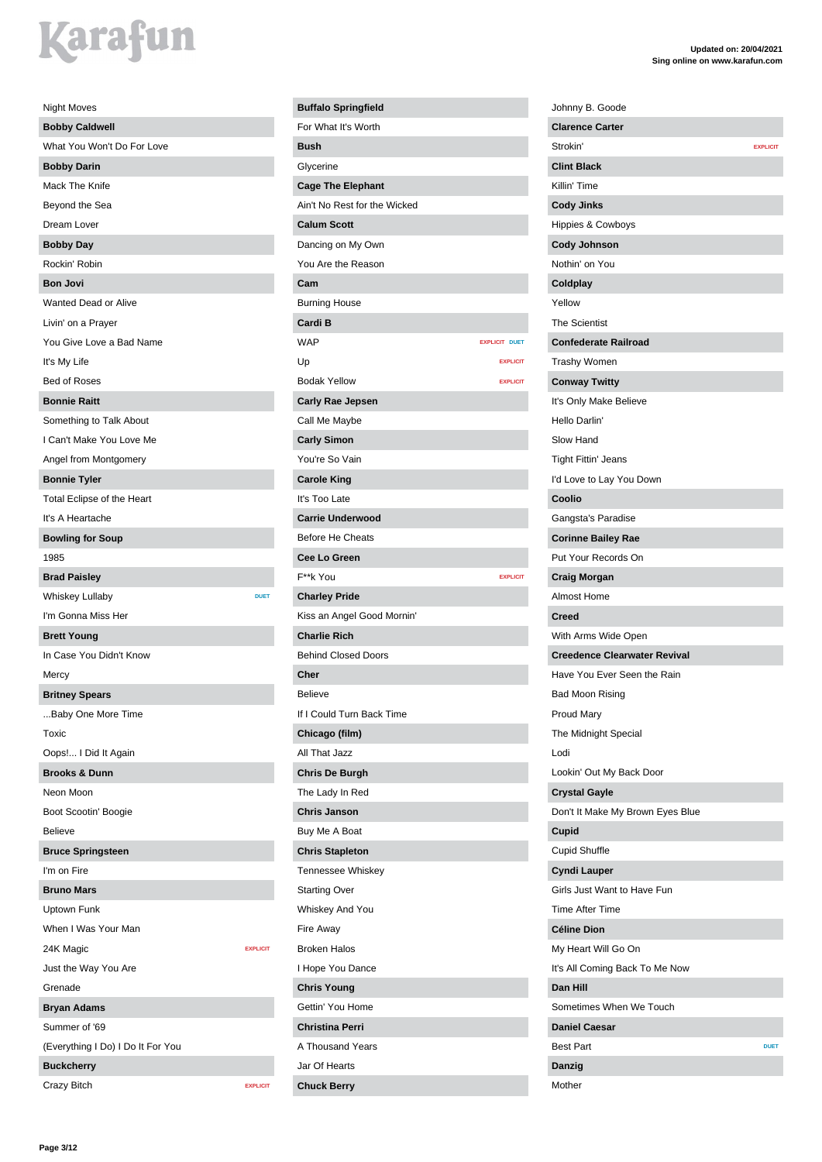| <b>Night Moves</b>                |                 |
|-----------------------------------|-----------------|
| <b>Bobby Caldwell</b>             |                 |
| What You Won't Do For Love        |                 |
| <b>Bobby Darin</b>                |                 |
| Mack The Knife                    |                 |
| Beyond the Sea                    |                 |
| Dream Lover                       |                 |
| <b>Bobby Day</b>                  |                 |
| Rockin' Robin                     |                 |
| <b>Bon Jovi</b>                   |                 |
| Wanted Dead or Alive              |                 |
| Livin' on a Prayer                |                 |
| You Give Love a Bad Name          |                 |
| It's My Life                      |                 |
| <b>Bed of Roses</b>               |                 |
| <b>Bonnie Raitt</b>               |                 |
| Something to Talk About           |                 |
| I Can't Make You Love Me          |                 |
| Angel from Montgomery             |                 |
| <b>Bonnie Tyler</b>               |                 |
| Total Eclipse of the Heart        |                 |
| It's A Heartache                  |                 |
| <b>Bowling for Soup</b>           |                 |
| 1985                              |                 |
| <b>Brad Paisley</b>               |                 |
| <b>Whiskey Lullaby</b>            | <b>DUET</b>     |
| I'm Gonna Miss Her                |                 |
| <b>Brett Young</b>                |                 |
| In Case You Didn't Know           |                 |
| Mercy                             |                 |
| <b>Britney Spears</b>             |                 |
| Baby One More Time                |                 |
| Toxic                             |                 |
| Oops! I Did It Again              |                 |
| <b>Brooks &amp; Dunn</b>          |                 |
| Neon Moon                         |                 |
| Boot Scootin' Boogie              |                 |
| <b>Believe</b>                    |                 |
| <b>Bruce Springsteen</b>          |                 |
| I'm on Fire                       |                 |
| <b>Bruno Mars</b>                 |                 |
| Uptown Funk                       |                 |
| When I Was Your Man               |                 |
| 24K Magic                         | <b>EXPLICIT</b> |
| Just the Way You Are              |                 |
| Grenade                           |                 |
| <b>Bryan Adams</b>                |                 |
| Summer of '69                     |                 |
| (Everything I Do) I Do It For You |                 |
| <b>Buckcherry</b>                 |                 |
| Crazy Bitch                       | <b>EXPLICIT</b> |

| <b>Buffalo Springfield</b>   |                      |
|------------------------------|----------------------|
| For What It's Worth          |                      |
| <b>Bush</b>                  |                      |
| Glycerine                    |                      |
| <b>Cage The Elephant</b>     |                      |
| Ain't No Rest for the Wicked |                      |
| <b>Calum Scott</b>           |                      |
| Dancing on My Own            |                      |
| You Are the Reason           |                      |
| Cam                          |                      |
| Burning House                |                      |
| Cardi B                      |                      |
| <b>WAP</b>                   | <b>EXPLICIT DUET</b> |
| Up                           | <b>EXPLICIT</b>      |
| <b>Bodak Yellow</b>          | <b>EXPLICIT</b>      |
| <b>Carly Rae Jepsen</b>      |                      |
| Call Me Maybe                |                      |
| <b>Carly Simon</b>           |                      |
| You're So Vain               |                      |
| <b>Carole King</b>           |                      |
| It's Too Late                |                      |
| <b>Carrie Underwood</b>      |                      |
| <b>Before He Cheats</b>      |                      |
| Cee Lo Green                 |                      |
| F**k You                     | <b>EXPLICIT</b>      |
| <b>Charley Pride</b>         |                      |
| Kiss an Angel Good Mornin'   |                      |
| <b>Charlie Rich</b>          |                      |
| <b>Behind Closed Doors</b>   |                      |
| Cher                         |                      |
| Believe                      |                      |
| If I Could Turn Back Time    |                      |
| Chicago (film)               |                      |
| All That Jazz                |                      |
| <b>Chris De Burgh</b>        |                      |
| The Lady In Red              |                      |
| <b>Chris Janson</b>          |                      |
| Buy Me A Boat                |                      |
| <b>Chris Stapleton</b>       |                      |
| Tennessee Whiskey            |                      |
| <b>Starting Over</b>         |                      |
| Whiskey And You              |                      |
| Fire Away                    |                      |
| <b>Broken Halos</b>          |                      |
| I Hope You Dance             |                      |
| <b>Chris Young</b>           |                      |
| Gettin' You Home             |                      |
| <b>Christina Perri</b>       |                      |
| A Thousand Years             |                      |
| Jar Of Hearts                |                      |
| <b>Chuck Berry</b>           |                      |
|                              |                      |

| Johnny B. Goode                     |                 |
|-------------------------------------|-----------------|
| <b>Clarence Carter</b>              |                 |
| Strokin'                            | <b>EXPLICIT</b> |
| <b>Clint Black</b>                  |                 |
| Killin' Time                        |                 |
| <b>Cody Jinks</b>                   |                 |
| <b>Hippies &amp; Cowboys</b>        |                 |
| <b>Cody Johnson</b>                 |                 |
| Nothin' on You                      |                 |
| Coldplay                            |                 |
| Yellow                              |                 |
| <b>The Scientist</b>                |                 |
| <b>Confederate Railroad</b>         |                 |
| <b>Trashy Women</b>                 |                 |
| <b>Conway Twitty</b>                |                 |
| It's Only Make Believe              |                 |
| Hello Darlin'                       |                 |
| Slow Hand                           |                 |
| <b>Tight Fittin' Jeans</b>          |                 |
| I'd Love to Lay You Down            |                 |
| Coolio                              |                 |
| Gangsta's Paradise                  |                 |
| <b>Corinne Bailey Rae</b>           |                 |
| Put Your Records On                 |                 |
| Craig Morgan                        |                 |
| <b>Almost Home</b>                  |                 |
| <b>Creed</b>                        |                 |
| With Arms Wide Open                 |                 |
| <b>Creedence Clearwater Revival</b> |                 |
| Have You Ever Seen the Rain         |                 |
| Bad Moon Rising                     |                 |
| <b>Proud Mary</b>                   |                 |
| The Midnight Special                |                 |
| Lodi                                |                 |
| Lookin' Out My Back Door            |                 |
| <b>Crystal Gayle</b>                |                 |
| Don't It Make My Brown Eyes Blue    |                 |
| Cupid                               |                 |
| <b>Cupid Shuffle</b>                |                 |
| <b>Cyndi Lauper</b>                 |                 |
| Girls Just Want to Have Fun         |                 |
| <b>Time After Time</b>              |                 |
| <b>Céline Dion</b>                  |                 |
| My Heart Will Go On                 |                 |
| It's All Coming Back To Me Now      |                 |
| <b>Dan Hill</b>                     |                 |
| Sometimes When We Touch             |                 |
| <b>Daniel Caesar</b>                |                 |
| <b>Best Part</b>                    | <b>DUET</b>     |
| Danzig                              |                 |
| Mother                              |                 |
|                                     |                 |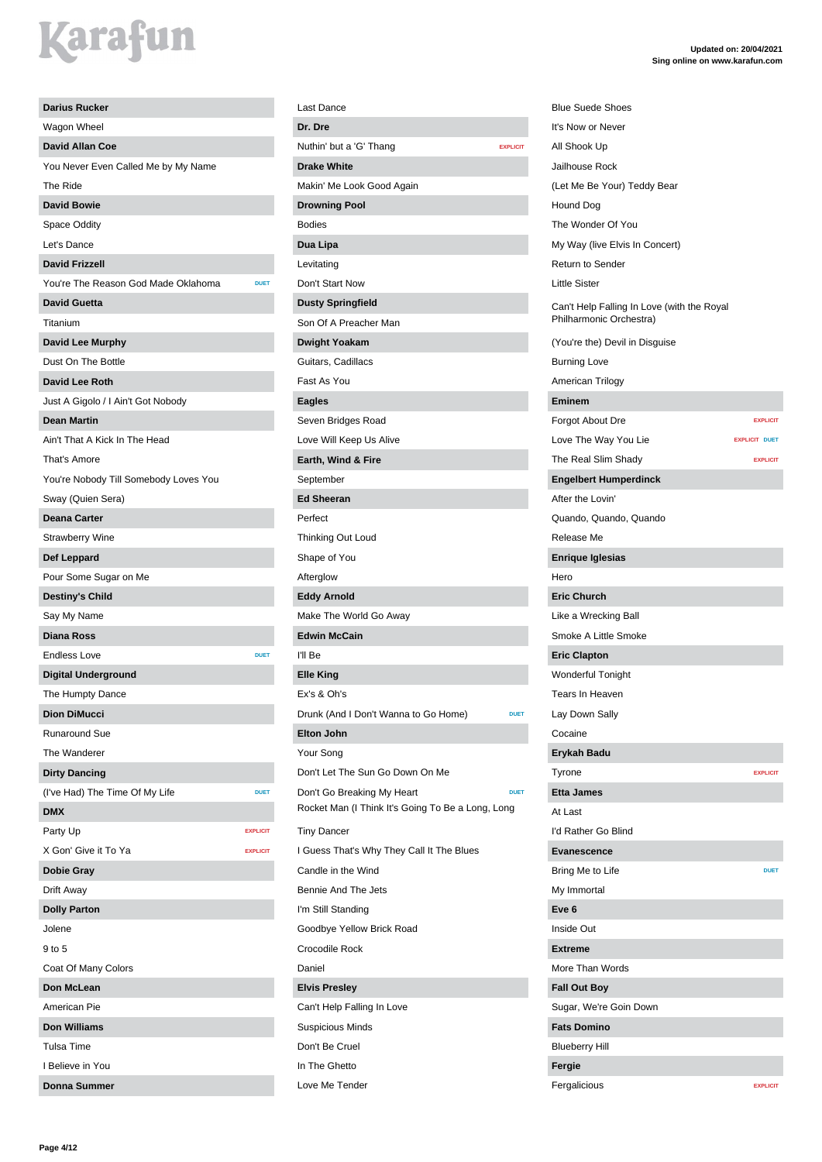| <b>Darius Rucker</b>                               |
|----------------------------------------------------|
| Wagon Wheel                                        |
| <b>David Allan Coe</b>                             |
| You Never Even Called Me by My Name                |
| The Ride                                           |
| <b>David Bowie</b>                                 |
| Space Oddity                                       |
| Let's Dance                                        |
| <b>David Frizzell</b>                              |
| You're The Reason God Made Oklahoma<br><b>DUET</b> |
| <b>David Guetta</b>                                |
| Titanium                                           |
| <b>David Lee Murphy</b>                            |
| Dust On The Bottle                                 |
| <b>David Lee Roth</b>                              |
| Just A Gigolo / I Ain't Got Nobody                 |
| <b>Dean Martin</b>                                 |
| Ain't That A Kick In The Head                      |
| That's Amore                                       |
| You're Nobody Till Somebody Loves You              |
| Sway (Quien Sera)                                  |
| <b>Deana Carter</b>                                |
| <b>Strawberry Wine</b>                             |
| Def Leppard                                        |
| Pour Some Sugar on Me                              |
| <b>Destiny's Child</b>                             |
| Say My Name                                        |
| <b>Diana Ross</b>                                  |
| <b>Endless Love</b><br><b>DUET</b>                 |
| <b>Digital Underground</b>                         |
| The Humpty Dance                                   |
| <b>Dion DiMucci</b>                                |
| <b>Runaround Sue</b>                               |
| The Wanderer                                       |
| <b>Dirty Dancing</b>                               |
| (I've Had) The Time Of My Life<br><b>DUET</b>      |
| <b>DMX</b>                                         |
| Party Up<br><b>EXPLICIT</b>                        |
| X Gon' Give it To Ya<br><b>EXPLICIT</b>            |
| <b>Dobie Gray</b>                                  |
| Drift Away                                         |
| <b>Dolly Parton</b>                                |
| Jolene                                             |
| 9 to 5                                             |
| Coat Of Many Colors                                |
| Don McLean                                         |
| American Pie                                       |
| <b>Don Williams</b>                                |
| Tulsa Time                                         |
| I Believe in You                                   |
| Donna Summer                                       |

| Last Dance                                        |                 |
|---------------------------------------------------|-----------------|
| Dr. Dre                                           |                 |
| Nuthin' but a 'G' Thang                           | <b>EXPLICIT</b> |
| <b>Drake White</b>                                |                 |
| Makin' Me Look Good Again                         |                 |
| <b>Drowning Pool</b>                              |                 |
| <b>Bodies</b>                                     |                 |
| Dua Lipa                                          |                 |
| Levitating                                        |                 |
| Don't Start Now                                   |                 |
| <b>Dusty Springfield</b>                          |                 |
| Son Of A Preacher Man                             |                 |
| <b>Dwight Yoakam</b>                              |                 |
| Guitars, Cadillacs                                |                 |
| Fast As You                                       |                 |
| <b>Eagles</b>                                     |                 |
| Seven Bridges Road                                |                 |
| Love Will Keep Us Alive                           |                 |
| Earth, Wind & Fire                                |                 |
| September                                         |                 |
| <b>Ed Sheeran</b>                                 |                 |
| Perfect                                           |                 |
| Thinking Out Loud                                 |                 |
| Shape of You                                      |                 |
| Afterglow                                         |                 |
| <b>Eddy Arnold</b>                                |                 |
| Make The World Go Away                            |                 |
| <b>Edwin McCain</b>                               |                 |
| I'll Be                                           |                 |
| <b>Elle King</b>                                  |                 |
| Ex's & Oh's                                       |                 |
| Drunk (And I Don't Wanna to Go Home)              | <b>DUET</b>     |
| <b>Elton John</b>                                 |                 |
| Your Song                                         |                 |
| Don't Let The Sun Go Down On Me                   |                 |
| Don't Go Breaking My Heart                        | <b>DUET</b>     |
| Rocket Man (I Think It's Going To Be a Long, Long |                 |
| <b>Tiny Dancer</b>                                |                 |
| I Guess That's Why They Call It The Blues         |                 |
| Candle in the Wind                                |                 |
| Bennie And The Jets                               |                 |
| I'm Still Standing                                |                 |
| Goodbye Yellow Brick Road                         |                 |
| Crocodile Rock                                    |                 |
| Daniel                                            |                 |
| <b>Elvis Presley</b>                              |                 |
| Can't Help Falling In Love                        |                 |
| <b>Suspicious Minds</b>                           |                 |
| Don't Be Cruel                                    |                 |
| In The Ghetto                                     |                 |
| Love Me Tender                                    |                 |

**Updated on: 20/04/2021 Sing online on www.karafun.com** (Let Me Be Your) Teddy Bear My Way (live Elvis In Concert) Can't Help Falling In Love (with the Royal Philharmonic Orchestra)

(You're the) Devil in Disguise

Burning Love

Return to Sender Little Sister

Blue Suede Shoes It's Now or Never All Shook Up Jailhouse Rock

Hound Dog The Wonder Of You

American Trilogy

| <b>EXPLICIT</b>      |
|----------------------|
| <b>EXPLICIT DUET</b> |
| <b>EXPLICIT</b>      |
|                      |
|                      |
|                      |
|                      |
|                      |
|                      |
|                      |
|                      |
|                      |
|                      |
|                      |
|                      |
|                      |
|                      |
|                      |
| <b>EXPLICIT</b>      |
|                      |
|                      |
|                      |
|                      |
| <b>DUET</b>          |
|                      |
|                      |
|                      |
|                      |
|                      |
|                      |
|                      |
|                      |
|                      |
|                      |
|                      |
|                      |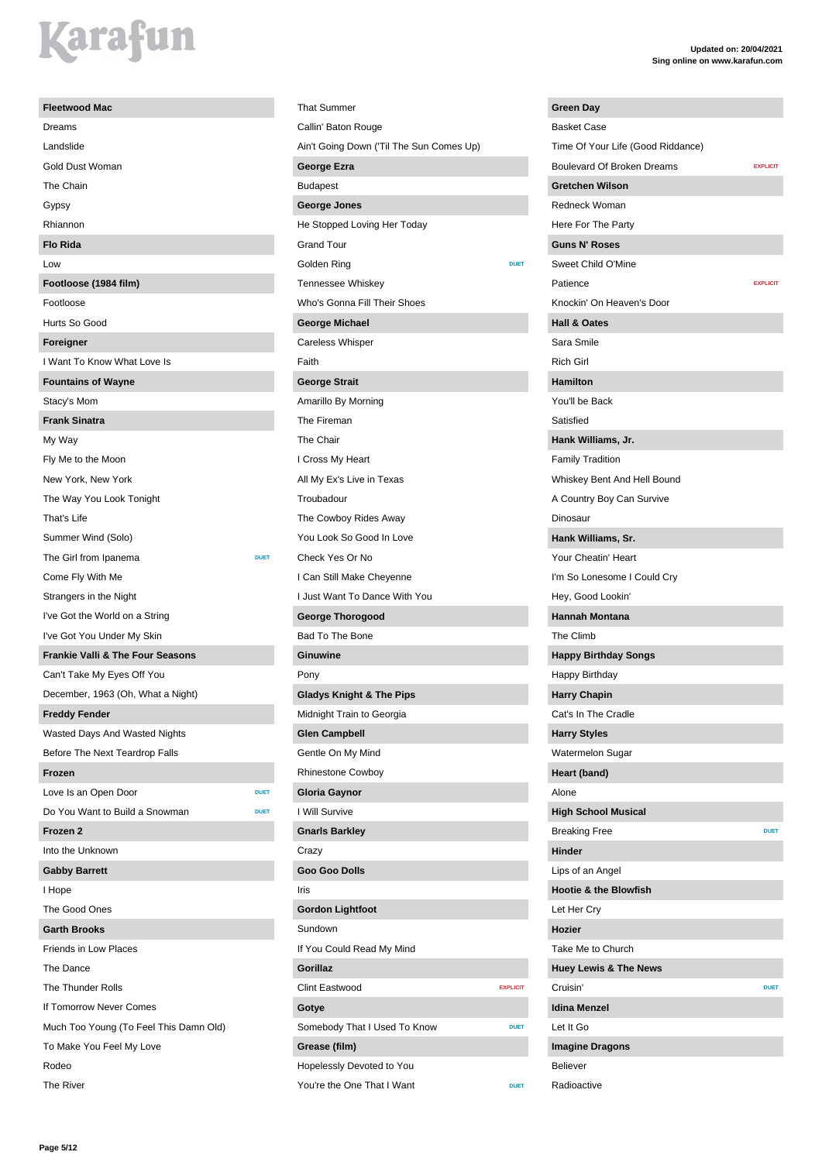# *<u>arafun</u>*

| <b>Fleetwood Mac</b>                        |             |
|---------------------------------------------|-------------|
| Dreams                                      |             |
| Landslide                                   |             |
| Gold Dust Woman                             |             |
| The Chain                                   |             |
| Gypsy                                       |             |
| Rhiannon                                    |             |
| <b>Flo Rida</b>                             |             |
| Low                                         |             |
| Footloose (1984 film)                       |             |
| Footloose                                   |             |
| Hurts So Good                               |             |
| Foreigner                                   |             |
| I Want To Know What Love Is                 |             |
| <b>Fountains of Wayne</b>                   |             |
| Stacy's Mom                                 |             |
| <b>Frank Sinatra</b>                        |             |
| My Way                                      |             |
| Fly Me to the Moon                          |             |
| New York, New York                          |             |
| The Way You Look Tonight                    |             |
| That's Life                                 |             |
| Summer Wind (Solo)                          |             |
| The Girl from Ipanema                       | <b>DUET</b> |
| Come Fly With Me                            |             |
| Strangers in the Night                      |             |
| I've Got the World on a String              |             |
| I've Got You Under My Skin                  |             |
| <b>Frankie Valli &amp; The Four Seasons</b> |             |
| Can't Take My Eyes Off You                  |             |
| December, 1963 (Oh, What a Night)           |             |
| <b>Freddy Fender</b>                        |             |
| Wasted Days And Wasted Nights               |             |
| Before The Next Teardrop Falls              |             |
| Frozen                                      |             |
| Love Is an Open Door                        | <b>DUET</b> |
| Do You Want to Build a Snowman              | <b>DUET</b> |
| Frozen 2                                    |             |
| Into the Unknown                            |             |
| <b>Gabby Barrett</b>                        |             |
| I Hope                                      |             |
| The Good Ones                               |             |
| <b>Garth Brooks</b>                         |             |
| <b>Friends in Low Places</b>                |             |
| The Dance                                   |             |
| The Thunder Rolls                           |             |
| If Tomorrow Never Comes                     |             |
| Much Too Young (To Feel This Damn Old)      |             |
| To Make You Feel My Love                    |             |
| Rodeo                                       |             |
| The River                                   |             |

That Summer Callin' Baton Rouge Ain't Going Down ('Til The Sun Comes Up) **George Ezra** Budapest **George Jones** He Stopped Loving Her Today Grand Tour Golden Ring **DUET** Tennessee Whiskey Who's Gonna Fill Their Shoes **George Michael** Careless Whisper Faith **George Strait** Amarillo By Morning The Fireman The Chair I Cross My Heart All My Ex's Live in Texas Troubadour The Cowboy Rides Away You Look So Good In Love Check Yes Or No I Can Still Make Cheyenne I Just Want To Dance With You **George Thorogood** Bad To The Bone **Ginuwine** Pony **Gladys Knight & The Pips** Midnight Train to Georgia **Glen Campbell** Gentle On My Mind Rhinestone Cowboy **Gloria Gaynor** I Will Survive **Gnarls Barkley** Crazy **Goo Goo Dolls** Iris **Gordon Lightfoot** Sundown If You Could Read My Mind **Gorillaz** Clint Eastwood **EXPLICIT Gotye** Somebody That I Used To Know **DUET Grease (film)** Hopelessly Devoted to You You're the One That I Want

| Green Day                         |                 |
|-----------------------------------|-----------------|
| <b>Basket Case</b>                |                 |
| Time Of Your Life (Good Riddance) |                 |
| <b>Boulevard Of Broken Dreams</b> | <b>EXPLICIT</b> |
| <b>Gretchen Wilson</b>            |                 |
| Redneck Woman                     |                 |
| Here For The Party                |                 |
| <b>Guns N' Roses</b>              |                 |
| Sweet Child O'Mine                |                 |
| Patience                          | <b>EXPLICIT</b> |
| Knockin' On Heaven's Door         |                 |
| <b>Hall &amp; Oates</b>           |                 |
| Sara Smile                        |                 |
| <b>Rich Girl</b>                  |                 |
| <b>Hamilton</b>                   |                 |
| You'll be Back                    |                 |
| Satisfied                         |                 |
| Hank Williams, Jr.                |                 |
| <b>Family Tradition</b>           |                 |
| Whiskey Bent And Hell Bound       |                 |
| A Country Boy Can Survive         |                 |
| Dinosaur                          |                 |
| Hank Williams, Sr.                |                 |
| Your Cheatin' Heart               |                 |
| I'm So Lonesome I Could Cry       |                 |
| Hey, Good Lookin'                 |                 |
| <b>Hannah Montana</b>             |                 |
| The Climb                         |                 |
| <b>Happy Birthday Songs</b>       |                 |
| Happy Birthday                    |                 |
| <b>Harry Chapin</b>               |                 |
| Cat's In The Cradle               |                 |
| <b>Harry Styles</b>               |                 |
| Watermelon Sugar                  |                 |
| Heart (band)                      |                 |
| Alone                             |                 |
| <b>High School Musical</b>        |                 |
| <b>Breaking Free</b>              | <b>DUET</b>     |
| <b>Hinder</b>                     |                 |
| Lips of an Angel                  |                 |
| <b>Hootie &amp; the Blowfish</b>  |                 |
| Let Her Cry                       |                 |
| Hozier                            |                 |
| Take Me to Church                 |                 |
| <b>Huey Lewis &amp; The News</b>  |                 |
| Cruisin'                          | <b>DUET</b>     |
| <b>Idina Menzel</b>               |                 |
| Let It Go                         |                 |
| <b>Imagine Dragons</b>            |                 |
| <b>Believer</b>                   |                 |
| Radioactive                       |                 |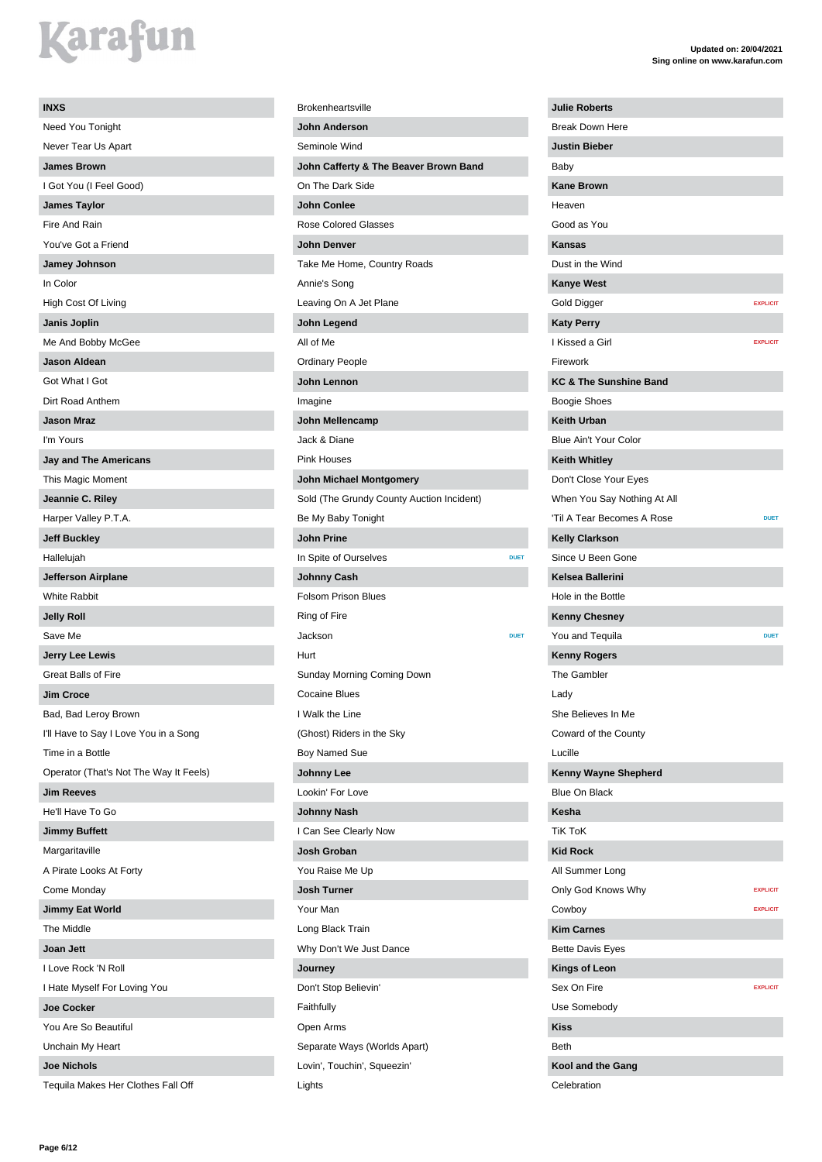| <b>INXS</b>                            |
|----------------------------------------|
| Need You Tonight                       |
| Never Tear Us Apart                    |
| <b>James Brown</b>                     |
| I Got You (I Feel Good)                |
| <b>James Taylor</b>                    |
| Fire And Rain                          |
| You've Got a Friend                    |
| Jamey Johnson                          |
| In Color                               |
| High Cost Of Living                    |
| Janis Joplin                           |
| Me And Bobby McGee                     |
| <b>Jason Aldean</b>                    |
| Got What I Got                         |
| Dirt Road Anthem                       |
| <b>Jason Mraz</b>                      |
| I'm Yours                              |
| <b>Jay and The Americans</b>           |
| This Magic Moment                      |
| Jeannie C. Riley                       |
| Harper Valley P.T.A.                   |
| <b>Jeff Buckley</b>                    |
| Hallelujah                             |
| <b>Jefferson Airplane</b>              |
| <b>White Rabbit</b>                    |
| <b>Jelly Roll</b>                      |
|                                        |
| Save Me                                |
| <b>Jerry Lee Lewis</b>                 |
| <b>Great Balls of Fire</b>             |
| <b>Jim Croce</b>                       |
| Bad, Bad Leroy Brown                   |
| I'll Have to Say I Love You in a Song  |
| Time in a Bottle                       |
| Operator (That's Not The Way It Feels) |
| <b>Jim Reeves</b>                      |
| He'll Have To Go                       |
| <b>Jimmy Buffett</b>                   |
| Margaritaville                         |
| A Pirate Looks At Forty                |
| Come Monday                            |
| <b>Jimmy Eat World</b>                 |
| The Middle                             |
| Joan Jett                              |
| I Love Rock 'N Roll                    |
| I Hate Myself For Loving You           |
| <b>Joe Cocker</b>                      |
| You Are So Beautiful                   |
| Unchain My Heart<br><b>Joe Nichols</b> |

Tequila Makes Her Clothes Fall Off

Lights

### Brokenheartsville **John Anderson** Seminole Wind **John Cafferty & The Beaver Brown Band** On The Dark Side **John Conlee** Rose Colored Glasses **John Denver** Take Me Home, Country Roads Annie's Song Leaving On A Jet Plane **John Legend** All of Me Ordinary People **John Lennon** Imagine **John Mellencamp** Jack & Diane Pink Houses **John Michael Montgomery** Sold (The Grundy County Auction Incident) Be My Baby Tonight **John Prine In Spite of Ourselves DUET Johnny Cash** Folsom Prison Blues Ring of Fire **Jackson DUET** Hurt Sunday Morning Coming Down Cocaine Blues I Walk the Line (Ghost) Riders in the Sky Boy Named Sue **Johnny Lee** Lookin' For Love **Johnny Nash** I Can See Clearly Now **Josh Groban** You Raise Me Up **Josh Turner** Your Man Long Black Train Why Don't We Just Dance **Journey** Don't Stop Believin' Faithfully Open Arms Separate Ways (Worlds Apart) Lovin', Touchin', Squeezin'

| <b>Julie Roberts</b>               |                 |
|------------------------------------|-----------------|
| <b>Break Down Here</b>             |                 |
| <b>Justin Bieber</b>               |                 |
| Baby                               |                 |
| <b>Kane Brown</b>                  |                 |
| Heaven                             |                 |
| Good as You                        |                 |
| <b>Kansas</b>                      |                 |
| Dust in the Wind                   |                 |
| <b>Kanye West</b>                  |                 |
| Gold Digger                        | <b>EXPLICIT</b> |
| <b>Katy Perry</b>                  |                 |
| I Kissed a Girl                    | <b>EXPLICIT</b> |
| Firework                           |                 |
| <b>KC &amp; The Sunshine Band</b>  |                 |
| Boogie Shoes                       |                 |
| <b>Keith Urban</b>                 |                 |
| Blue Ain't Your Color              |                 |
| <b>Keith Whitley</b>               |                 |
| Don't Close Your Eyes              |                 |
| When You Say Nothing At All        |                 |
| 'Til A Tear Becomes A Rose         | <b>DUET</b>     |
| <b>Kelly Clarkson</b>              |                 |
| Since U Been Gone                  |                 |
| <b>Kelsea Ballerini</b>            |                 |
| Hole in the Bottle                 |                 |
|                                    |                 |
| <b>Kenny Chesney</b>               | <b>DUET</b>     |
| You and Tequila                    |                 |
| <b>Kenny Rogers</b><br>The Gambler |                 |
|                                    |                 |
| Lady                               |                 |
| She Believes In Me                 |                 |
| Coward of the County               |                 |
| Lucille                            |                 |
| Kenny Wayne Shepherd               |                 |
| <b>Blue On Black</b>               |                 |
| Kesha                              |                 |
| <b>TiK ToK</b>                     |                 |
| <b>Kid Rock</b>                    |                 |
| All Summer Long                    |                 |
| Only God Knows Why                 | <b>EXPLICIT</b> |
| Cowboy                             | <b>EXPLICIT</b> |
| <b>Kim Carnes</b>                  |                 |
| <b>Bette Davis Eyes</b>            |                 |
| <b>Kings of Leon</b>               |                 |
| Sex On Fire                        | <b>EXPLICIT</b> |
| Use Somebody                       |                 |
| <b>Kiss</b>                        |                 |
| Beth                               |                 |
| Kool and the Gang                  |                 |
| Celebration                        |                 |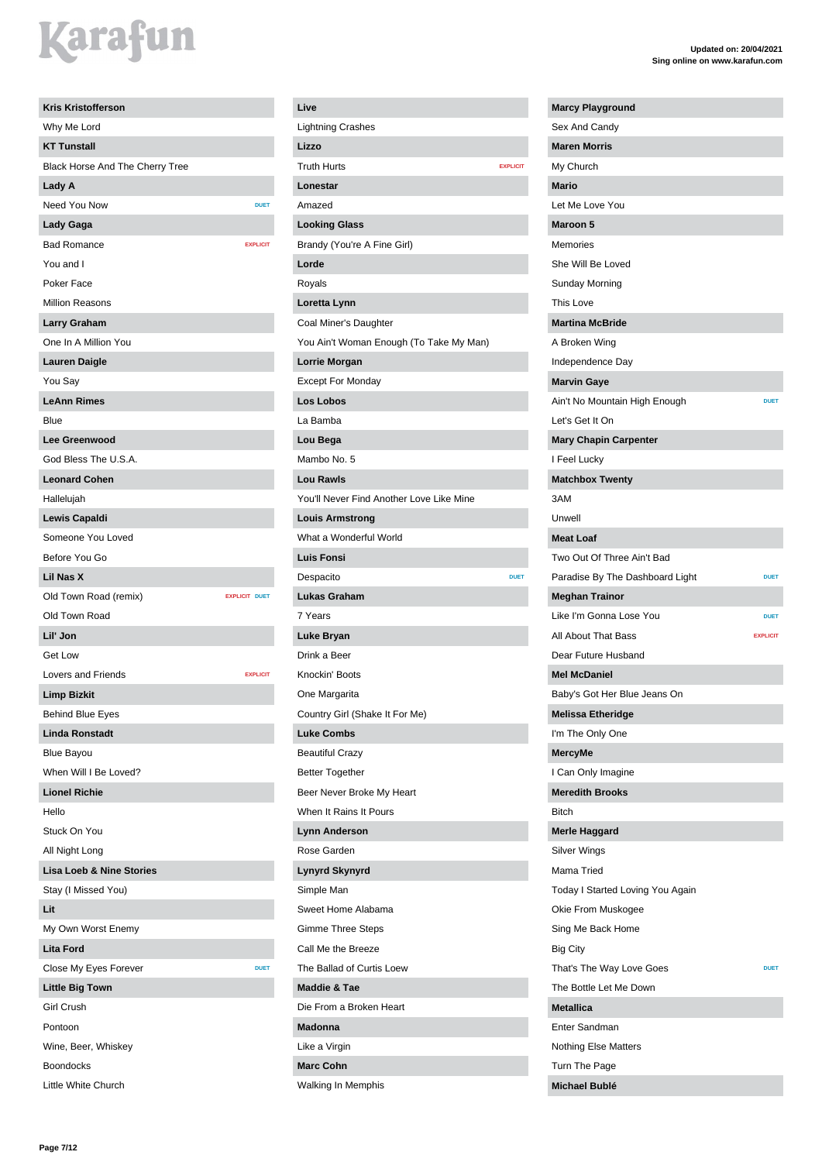| <b>Kris Kristofferson</b>           |                      |                 |
|-------------------------------------|----------------------|-----------------|
| Why Me Lord                         |                      |                 |
| <b>KT Tunstall</b>                  |                      |                 |
| Black Horse And The Cherry Tree     |                      |                 |
| Lady A                              |                      |                 |
| Need You Now                        |                      | <b>DUET</b>     |
| Lady Gaga                           |                      |                 |
| <b>Bad Romance</b>                  |                      | <b>EXPLICIT</b> |
| You and I                           |                      |                 |
| Poker Face                          |                      |                 |
| <b>Million Reasons</b>              |                      |                 |
| Larry Graham                        |                      |                 |
| One In A Million You                |                      |                 |
| <b>Lauren Daigle</b>                |                      |                 |
| You Say                             |                      |                 |
| <b>LeAnn Rimes</b>                  |                      |                 |
| Blue                                |                      |                 |
| <b>Lee Greenwood</b>                |                      |                 |
| God Bless The U.S.A.                |                      |                 |
| <b>Leonard Cohen</b>                |                      |                 |
| Hallelujah                          |                      |                 |
| Lewis Capaldi                       |                      |                 |
| Someone You Loved                   |                      |                 |
| Before You Go                       |                      |                 |
| Lil Nas X                           |                      |                 |
| Old Town Road (remix)               | <b>EXPLICIT DUET</b> |                 |
| Old Town Road                       |                      |                 |
| Lil' Jon                            |                      |                 |
| <b>Get Low</b>                      |                      |                 |
| Lovers and Friends                  |                      | <b>EXPLICIT</b> |
| <b>Limp Bizkit</b>                  |                      |                 |
| <b>Behind Blue Eyes</b>             |                      |                 |
| <b>Linda Ronstadt</b>               |                      |                 |
| Blue Bayou                          |                      |                 |
| When Will I Be Loved?               |                      |                 |
| <b>Lionel Richie</b>                |                      |                 |
| Hello                               |                      |                 |
| Stuck On You                        |                      |                 |
| All Night Long                      |                      |                 |
| <b>Lisa Loeb &amp; Nine Stories</b> |                      |                 |
| Stay (I Missed You)                 |                      |                 |
| Lit                                 |                      |                 |
| My Own Worst Enemy                  |                      |                 |
| <b>Lita Ford</b>                    |                      |                 |
| Close My Eyes Forever               |                      | <b>DUET</b>     |
| <b>Little Big Town</b>              |                      |                 |
| <b>Girl Crush</b>                   |                      |                 |
| Pontoon                             |                      |                 |
| Wine, Beer, Whiskey                 |                      |                 |
| <b>Boondocks</b>                    |                      |                 |
| Little White Church                 |                      |                 |

### **Live** Lightning Crashes **Lizzo Truth Hurts EXPLICIT Lonestar** Amazed **Looking Glass** Brandy (You're A Fine Girl) **Lorde** Royals **Loretta Lynn** Coal Miner's Daughter You Ain't Woman Enough (To Take My Man) **Lorrie Morgan** Except For Monday **Los Lobos** La Bamba **Lou Bega** Mambo No. 5 **Lou Rawls** You'll Never Find Another Love Like Mine **Louis Armstrong** What a Wonderful World **Luis Fonsi** Despacito **Lukas Graham** 7 Years **Luke Bryan** Drink a Beer Knockin' Boots One Margarita Country Girl (Shake It For Me) **Luke Combs** Beautiful Crazy Better Together Beer Never Broke My Heart When It Rains It Pours **Lynn Anderson** Rose Garden **Lynyrd Skynyrd** Simple Man Sweet Home Alabama Gimme Three Steps Call Me the Breeze The Ballad of Curtis Loew **Maddie & Tae** Die From a Broken Heart **Madonna** Like a Virgin **Marc Cohn** Walking In Memphis

### **Updated on: 20/04/2021 Sing online on www.karafun.com**

**Marcy Playground**

| Sex And Candy                    |                 |
|----------------------------------|-----------------|
| <b>Maren Morris</b>              |                 |
| My Church                        |                 |
| <b>Mario</b>                     |                 |
| Let Me Love You                  |                 |
| <b>Maroon 5</b>                  |                 |
| Memories                         |                 |
| She Will Be Loved                |                 |
| Sunday Morning                   |                 |
| This Love                        |                 |
| <b>Martina McBride</b>           |                 |
| A Broken Wing                    |                 |
| Independence Day                 |                 |
| <b>Marvin Gaye</b>               |                 |
| Ain't No Mountain High Enough    | <b>DUET</b>     |
| Let's Get It On                  |                 |
| <b>Mary Chapin Carpenter</b>     |                 |
| I Feel Lucky                     |                 |
| <b>Matchbox Twenty</b>           |                 |
| 3AM                              |                 |
| Unwell                           |                 |
| <b>Meat Loaf</b>                 |                 |
| Two Out Of Three Ain't Bad       |                 |
| Paradise By The Dashboard Light  | <b>DUET</b>     |
| <b>Meghan Trainor</b>            |                 |
|                                  |                 |
| Like I'm Gonna Lose You          | <b>DUET</b>     |
| All About That Bass              | <b>EXPLICIT</b> |
| Dear Future Husband              |                 |
| <b>Mel McDaniel</b>              |                 |
| Baby's Got Her Blue Jeans On     |                 |
| <b>Melissa Etheridge</b>         |                 |
| I'm The Only One                 |                 |
| <b>MercyMe</b>                   |                 |
| I Can Only Imagine               |                 |
| <b>Meredith Brooks</b>           |                 |
| <b>Bitch</b>                     |                 |
| <b>Merle Haggard</b>             |                 |
| Silver Wings                     |                 |
| Mama Tried                       |                 |
| Today I Started Loving You Again |                 |
| Okie From Muskogee               |                 |
| Sing Me Back Home                |                 |
| Big City                         |                 |
| That's The Way Love Goes         | <b>DUET</b>     |
| The Bottle Let Me Down           |                 |
| <b>Metallica</b>                 |                 |
| Enter Sandman                    |                 |
| <b>Nothing Else Matters</b>      |                 |

**Michael Bublé**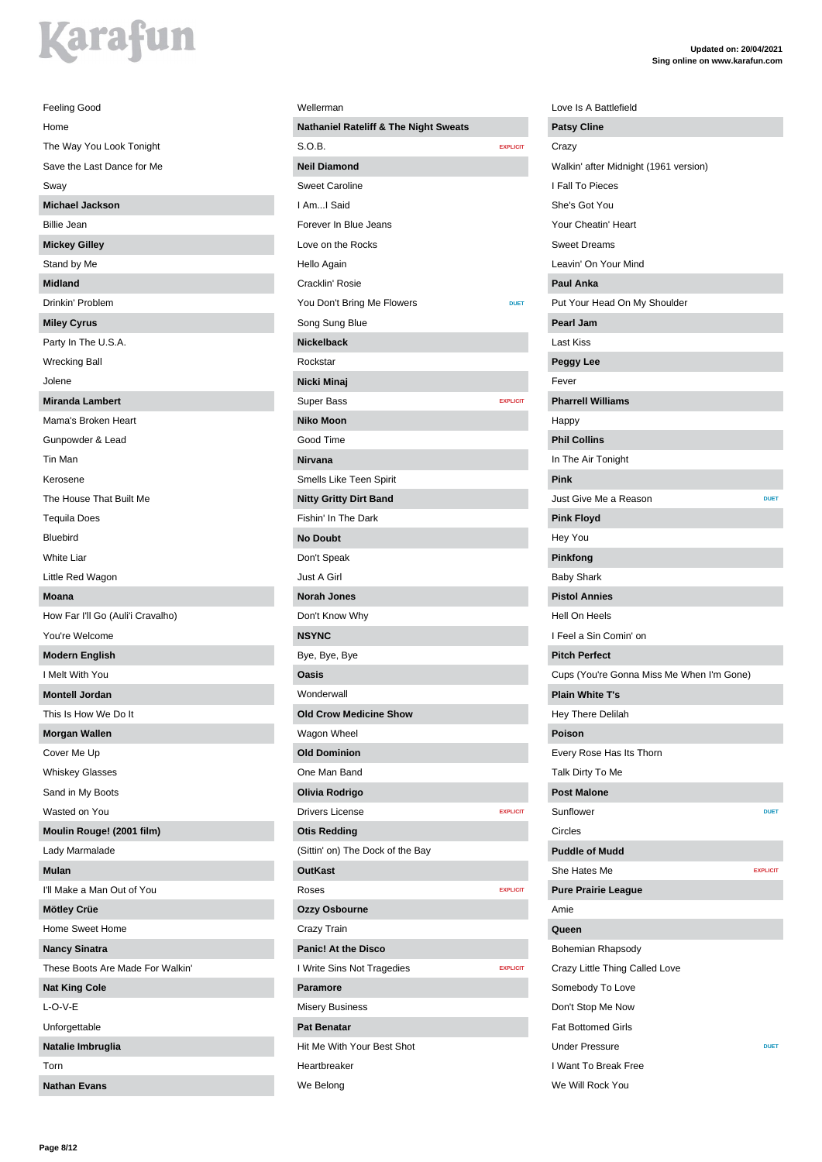| Feeling Good                      |
|-----------------------------------|
| Home                              |
| The Way You Look Tonight          |
| Save the Last Dance for Me        |
| Sway                              |
| <b>Michael Jackson</b>            |
| <b>Billie Jean</b>                |
| <b>Mickey Gilley</b>              |
| Stand by Me                       |
| <b>Midland</b>                    |
| Drinkin' Problem                  |
| <b>Miley Cyrus</b>                |
| Party In The U.S.A.               |
| <b>Wrecking Ball</b>              |
| Jolene                            |
| <b>Miranda Lambert</b>            |
| Mama's Broken Heart               |
| Gunpowder & Lead                  |
| Tin Man                           |
| Kerosene                          |
| The House That Built Me           |
| <b>Tequila Does</b>               |
| <b>Bluebird</b>                   |
| White Liar                        |
| Little Red Wagon                  |
| <b>Moana</b>                      |
| How Far I'll Go (Auli'i Cravalho) |
| You're Welcome                    |
| <b>Modern English</b>             |
| I Melt With You                   |
| <b>Montell Jordan</b>             |
| This Is How We Do It              |
| <b>Morgan Wallen</b>              |
| Cover Me Up                       |
| <b>Whiskey Glasses</b>            |
| Sand in My Boots                  |
| Wasted on You                     |
| Moulin Rouge! (2001 film)         |
| Lady Marmalade                    |
| <b>Mulan</b>                      |
| I'll Make a Man Out of You        |
| Mötley Crüe                       |
| Home Sweet Home                   |
| <b>Nancy Sinatra</b>              |
| These Boots Are Made For Walkin'  |
| <b>Nat King Cole</b>              |
| $L$ -O-V-E                        |
| Unforgettable                     |
| Natalie Imbruglia                 |
| Torn                              |
| <b>Nathan Evans</b>               |

| Wellerman                                        |                 |
|--------------------------------------------------|-----------------|
| <b>Nathaniel Rateliff &amp; The Night Sweats</b> |                 |
| S.O.B.                                           | <b>EXPLICIT</b> |
| <b>Neil Diamond</b>                              |                 |
| <b>Sweet Caroline</b>                            |                 |
| I AmI Said                                       |                 |
| Forever In Blue Jeans                            |                 |
| Love on the Rocks                                |                 |
| Hello Again                                      |                 |
| Cracklin' Rosie                                  |                 |
| You Don't Bring Me Flowers                       | <b>DUET</b>     |
| Song Sung Blue                                   |                 |
| <b>Nickelback</b>                                |                 |
| Rockstar                                         |                 |
| Nicki Minaj                                      |                 |
| <b>Super Bass</b>                                | <b>EXPLICIT</b> |
| <b>Niko Moon</b>                                 |                 |
| Good Time                                        |                 |
| Nirvana                                          |                 |
| Smells Like Teen Spirit                          |                 |
| <b>Nitty Gritty Dirt Band</b>                    |                 |
| Fishin' In The Dark                              |                 |
| <b>No Doubt</b>                                  |                 |
| Don't Speak                                      |                 |
| Just A Girl                                      |                 |
| <b>Norah Jones</b>                               |                 |
| Don't Know Why                                   |                 |
| <b>NSYNC</b>                                     |                 |
| Bye, Bye, Bye                                    |                 |
| Oasis                                            |                 |
| Wonderwall                                       |                 |
| <b>Old Crow Medicine Sh</b>                      |                 |
| Wagon Wheel                                      |                 |
| <b>Old Dominion</b>                              |                 |
| One Man Band                                     |                 |
| Olivia Rodrigo                                   |                 |
| <b>Drivers License</b>                           | <b>EXPLICIT</b> |
| <b>Otis Redding</b>                              |                 |
| (Sittin' on) The Dock of the Bay                 |                 |
| <b>OutKast</b>                                   |                 |
| Roses                                            | <b>EXPLICIT</b> |
| Ozzy Osbourne                                    |                 |
| Crazy Train                                      |                 |
| <b>Panic! At the Disco</b>                       |                 |
| I Write Sins Not Tragedies                       | <b>EXPLICIT</b> |
| <b>Paramore</b>                                  |                 |
| <b>Misery Business</b>                           |                 |
| <b>Pat Benatar</b>                               |                 |
| Hit Me With Your Best Shot                       |                 |
| Heartbreaker                                     |                 |
| We Belong                                        |                 |

| <b>Patsy Cline</b><br>Crazy<br>Walkin' after Midnight (1961 version)<br>I Fall To Pieces<br>She's Got You<br>Your Cheatin' Heart<br><b>Sweet Dreams</b><br>Leavin' On Your Mind<br><b>Paul Anka</b><br>Put Your Head On My Shoulder<br>Pearl Jam<br>Last Kiss<br>Peggy Lee<br>Fever<br><b>Pharrell Williams</b><br>Happy<br><b>Phil Collins</b><br>In The Air Tonight<br>Pink<br>Just Give Me a Reason<br><b>DUET</b><br><b>Pink Floyd</b><br>Hey You<br>Pinkfong<br><b>Baby Shark</b><br><b>Pistol Annies</b><br>Hell On Heels<br>I Feel a Sin Comin' on<br><b>Pitch Perfect</b><br>Cups (You're Gonna Miss Me When I'm Gone)<br><b>Plain White T's</b><br>Hey There Delilah<br>Poison<br>Every Rose Has Its Thorn<br>Talk Dirty To Me<br><b>Post Malone</b><br>Sunflower<br><b>DUET</b><br>Circles<br><b>Puddle of Mudd</b><br>She Hates Me<br><b>EXPLICIT</b><br><b>Pure Prairie League</b><br>Amie<br>Queen<br>Bohemian Rhapsody<br>Crazy Little Thing Called Love<br>Somebody To Love<br>Don't Stop Me Now |                  |  |
|-----------------------------------------------------------------------------------------------------------------------------------------------------------------------------------------------------------------------------------------------------------------------------------------------------------------------------------------------------------------------------------------------------------------------------------------------------------------------------------------------------------------------------------------------------------------------------------------------------------------------------------------------------------------------------------------------------------------------------------------------------------------------------------------------------------------------------------------------------------------------------------------------------------------------------------------------------------------------------------------------------------------|------------------|--|
|                                                                                                                                                                                                                                                                                                                                                                                                                                                                                                                                                                                                                                                                                                                                                                                                                                                                                                                                                                                                                 |                  |  |
|                                                                                                                                                                                                                                                                                                                                                                                                                                                                                                                                                                                                                                                                                                                                                                                                                                                                                                                                                                                                                 |                  |  |
|                                                                                                                                                                                                                                                                                                                                                                                                                                                                                                                                                                                                                                                                                                                                                                                                                                                                                                                                                                                                                 |                  |  |
|                                                                                                                                                                                                                                                                                                                                                                                                                                                                                                                                                                                                                                                                                                                                                                                                                                                                                                                                                                                                                 |                  |  |
|                                                                                                                                                                                                                                                                                                                                                                                                                                                                                                                                                                                                                                                                                                                                                                                                                                                                                                                                                                                                                 |                  |  |
|                                                                                                                                                                                                                                                                                                                                                                                                                                                                                                                                                                                                                                                                                                                                                                                                                                                                                                                                                                                                                 |                  |  |
|                                                                                                                                                                                                                                                                                                                                                                                                                                                                                                                                                                                                                                                                                                                                                                                                                                                                                                                                                                                                                 |                  |  |
|                                                                                                                                                                                                                                                                                                                                                                                                                                                                                                                                                                                                                                                                                                                                                                                                                                                                                                                                                                                                                 |                  |  |
|                                                                                                                                                                                                                                                                                                                                                                                                                                                                                                                                                                                                                                                                                                                                                                                                                                                                                                                                                                                                                 |                  |  |
|                                                                                                                                                                                                                                                                                                                                                                                                                                                                                                                                                                                                                                                                                                                                                                                                                                                                                                                                                                                                                 |                  |  |
|                                                                                                                                                                                                                                                                                                                                                                                                                                                                                                                                                                                                                                                                                                                                                                                                                                                                                                                                                                                                                 |                  |  |
|                                                                                                                                                                                                                                                                                                                                                                                                                                                                                                                                                                                                                                                                                                                                                                                                                                                                                                                                                                                                                 |                  |  |
|                                                                                                                                                                                                                                                                                                                                                                                                                                                                                                                                                                                                                                                                                                                                                                                                                                                                                                                                                                                                                 |                  |  |
|                                                                                                                                                                                                                                                                                                                                                                                                                                                                                                                                                                                                                                                                                                                                                                                                                                                                                                                                                                                                                 |                  |  |
|                                                                                                                                                                                                                                                                                                                                                                                                                                                                                                                                                                                                                                                                                                                                                                                                                                                                                                                                                                                                                 |                  |  |
|                                                                                                                                                                                                                                                                                                                                                                                                                                                                                                                                                                                                                                                                                                                                                                                                                                                                                                                                                                                                                 |                  |  |
|                                                                                                                                                                                                                                                                                                                                                                                                                                                                                                                                                                                                                                                                                                                                                                                                                                                                                                                                                                                                                 |                  |  |
|                                                                                                                                                                                                                                                                                                                                                                                                                                                                                                                                                                                                                                                                                                                                                                                                                                                                                                                                                                                                                 |                  |  |
|                                                                                                                                                                                                                                                                                                                                                                                                                                                                                                                                                                                                                                                                                                                                                                                                                                                                                                                                                                                                                 |                  |  |
|                                                                                                                                                                                                                                                                                                                                                                                                                                                                                                                                                                                                                                                                                                                                                                                                                                                                                                                                                                                                                 |                  |  |
|                                                                                                                                                                                                                                                                                                                                                                                                                                                                                                                                                                                                                                                                                                                                                                                                                                                                                                                                                                                                                 |                  |  |
|                                                                                                                                                                                                                                                                                                                                                                                                                                                                                                                                                                                                                                                                                                                                                                                                                                                                                                                                                                                                                 |                  |  |
|                                                                                                                                                                                                                                                                                                                                                                                                                                                                                                                                                                                                                                                                                                                                                                                                                                                                                                                                                                                                                 |                  |  |
|                                                                                                                                                                                                                                                                                                                                                                                                                                                                                                                                                                                                                                                                                                                                                                                                                                                                                                                                                                                                                 |                  |  |
|                                                                                                                                                                                                                                                                                                                                                                                                                                                                                                                                                                                                                                                                                                                                                                                                                                                                                                                                                                                                                 |                  |  |
|                                                                                                                                                                                                                                                                                                                                                                                                                                                                                                                                                                                                                                                                                                                                                                                                                                                                                                                                                                                                                 |                  |  |
|                                                                                                                                                                                                                                                                                                                                                                                                                                                                                                                                                                                                                                                                                                                                                                                                                                                                                                                                                                                                                 |                  |  |
|                                                                                                                                                                                                                                                                                                                                                                                                                                                                                                                                                                                                                                                                                                                                                                                                                                                                                                                                                                                                                 |                  |  |
|                                                                                                                                                                                                                                                                                                                                                                                                                                                                                                                                                                                                                                                                                                                                                                                                                                                                                                                                                                                                                 |                  |  |
|                                                                                                                                                                                                                                                                                                                                                                                                                                                                                                                                                                                                                                                                                                                                                                                                                                                                                                                                                                                                                 |                  |  |
|                                                                                                                                                                                                                                                                                                                                                                                                                                                                                                                                                                                                                                                                                                                                                                                                                                                                                                                                                                                                                 |                  |  |
|                                                                                                                                                                                                                                                                                                                                                                                                                                                                                                                                                                                                                                                                                                                                                                                                                                                                                                                                                                                                                 |                  |  |
|                                                                                                                                                                                                                                                                                                                                                                                                                                                                                                                                                                                                                                                                                                                                                                                                                                                                                                                                                                                                                 |                  |  |
|                                                                                                                                                                                                                                                                                                                                                                                                                                                                                                                                                                                                                                                                                                                                                                                                                                                                                                                                                                                                                 |                  |  |
|                                                                                                                                                                                                                                                                                                                                                                                                                                                                                                                                                                                                                                                                                                                                                                                                                                                                                                                                                                                                                 |                  |  |
|                                                                                                                                                                                                                                                                                                                                                                                                                                                                                                                                                                                                                                                                                                                                                                                                                                                                                                                                                                                                                 |                  |  |
|                                                                                                                                                                                                                                                                                                                                                                                                                                                                                                                                                                                                                                                                                                                                                                                                                                                                                                                                                                                                                 |                  |  |
|                                                                                                                                                                                                                                                                                                                                                                                                                                                                                                                                                                                                                                                                                                                                                                                                                                                                                                                                                                                                                 |                  |  |
|                                                                                                                                                                                                                                                                                                                                                                                                                                                                                                                                                                                                                                                                                                                                                                                                                                                                                                                                                                                                                 |                  |  |
|                                                                                                                                                                                                                                                                                                                                                                                                                                                                                                                                                                                                                                                                                                                                                                                                                                                                                                                                                                                                                 |                  |  |
|                                                                                                                                                                                                                                                                                                                                                                                                                                                                                                                                                                                                                                                                                                                                                                                                                                                                                                                                                                                                                 |                  |  |
|                                                                                                                                                                                                                                                                                                                                                                                                                                                                                                                                                                                                                                                                                                                                                                                                                                                                                                                                                                                                                 |                  |  |
|                                                                                                                                                                                                                                                                                                                                                                                                                                                                                                                                                                                                                                                                                                                                                                                                                                                                                                                                                                                                                 |                  |  |
|                                                                                                                                                                                                                                                                                                                                                                                                                                                                                                                                                                                                                                                                                                                                                                                                                                                                                                                                                                                                                 |                  |  |
|                                                                                                                                                                                                                                                                                                                                                                                                                                                                                                                                                                                                                                                                                                                                                                                                                                                                                                                                                                                                                 |                  |  |
|                                                                                                                                                                                                                                                                                                                                                                                                                                                                                                                                                                                                                                                                                                                                                                                                                                                                                                                                                                                                                 |                  |  |
| <b>Fat Bottomed Girls</b>                                                                                                                                                                                                                                                                                                                                                                                                                                                                                                                                                                                                                                                                                                                                                                                                                                                                                                                                                                                       |                  |  |
| <b>Under Pressure</b><br><b>DUET</b>                                                                                                                                                                                                                                                                                                                                                                                                                                                                                                                                                                                                                                                                                                                                                                                                                                                                                                                                                                            |                  |  |
|                                                                                                                                                                                                                                                                                                                                                                                                                                                                                                                                                                                                                                                                                                                                                                                                                                                                                                                                                                                                                 |                  |  |
| I Want To Break Free                                                                                                                                                                                                                                                                                                                                                                                                                                                                                                                                                                                                                                                                                                                                                                                                                                                                                                                                                                                            | We Will Rock You |  |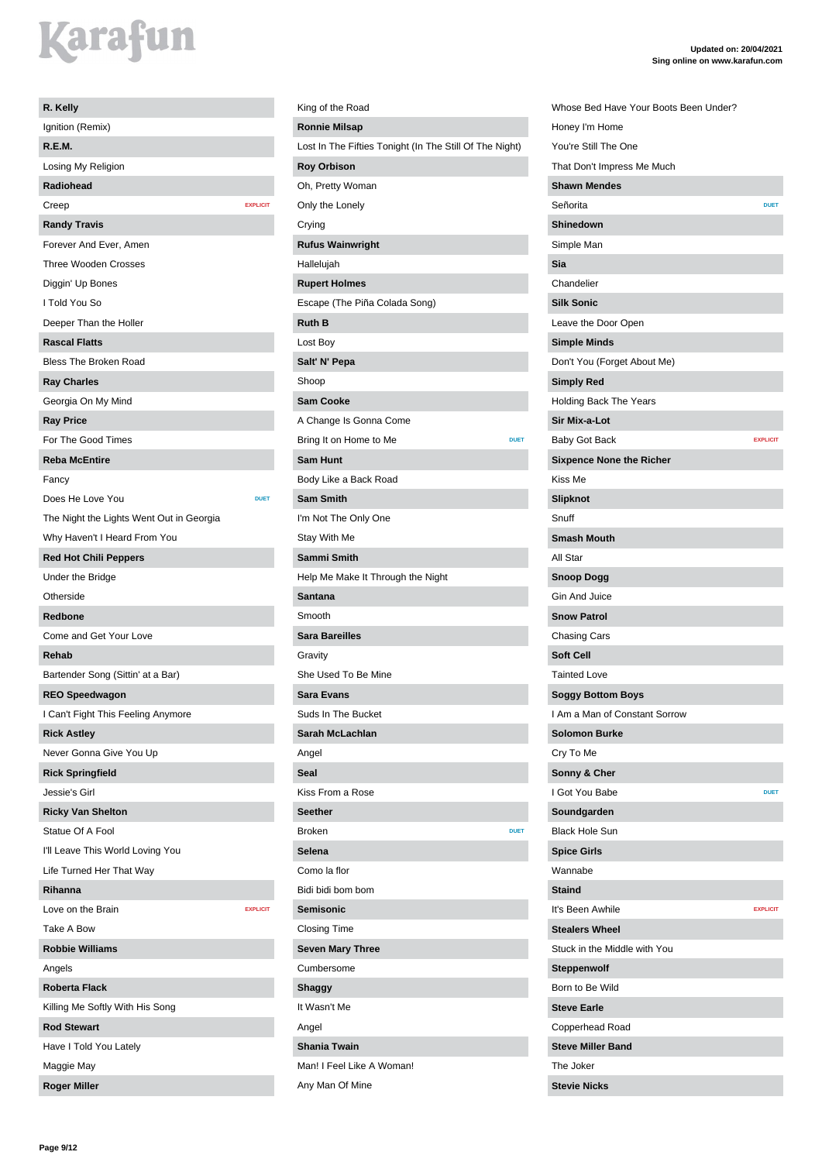| R. Kelly                                 |                 |
|------------------------------------------|-----------------|
| Ignition (Remix)                         |                 |
| R.E.M.                                   |                 |
| Losing My Religion                       |                 |
| Radiohead                                |                 |
| Creep                                    | <b>EXPLICIT</b> |
| <b>Randy Travis</b>                      |                 |
| Forever And Ever, Amen                   |                 |
| <b>Three Wooden Crosses</b>              |                 |
| Diggin' Up Bones                         |                 |
| I Told You So                            |                 |
| Deeper Than the Holler                   |                 |
| <b>Rascal Flatts</b>                     |                 |
| <b>Bless The Broken Road</b>             |                 |
| <b>Ray Charles</b>                       |                 |
| Georgia On My Mind                       |                 |
| <b>Ray Price</b>                         |                 |
| For The Good Times                       |                 |
| <b>Reba McEntire</b>                     |                 |
| Fancy                                    |                 |
| Does He Love You                         | <b>DUET</b>     |
| The Night the Lights Went Out in Georgia |                 |
| Why Haven't I Heard From You             |                 |
| <b>Red Hot Chili Peppers</b>             |                 |
| Under the Bridge                         |                 |
| Otherside                                |                 |
| Redbone                                  |                 |
| Come and Get Your Love                   |                 |
| Rehab                                    |                 |
| Bartender Song (Sittin' at a Bar)        |                 |
| <b>REO Speedwagon</b>                    |                 |
| I Can't Fight This Feeling Anymore       |                 |
| <b>Rick Astley</b>                       |                 |
| Never Gonna Give You Up                  |                 |
| <b>Rick Springfield</b>                  |                 |
| Jessie's Girl                            |                 |
| <b>Ricky Van Shelton</b>                 |                 |
| Statue Of A Fool                         |                 |
| I'll Leave This World Loving You         |                 |
| Life Turned Her That Way                 |                 |
| Rihanna                                  |                 |
| Love on the Brain                        | <b>EXPLICIT</b> |
| Take A Bow                               |                 |
| <b>Robbie Williams</b>                   |                 |
| Angels                                   |                 |
| <b>Roberta Flack</b>                     |                 |
| Killing Me Softly With His Song          |                 |
| <b>Rod Stewart</b>                       |                 |
| Have I Told You Lately                   |                 |
| Maggie May                               |                 |
| <b>Roger Miller</b>                      |                 |

### King of the Road **Ronnie Milsap** Lost In The Fifties Tonight (In The Still Of The Night) **Roy Orbison** Oh, Pretty Woman Only the Lonely Crying **Rufus Wainwright** Hallelujah **Rupert Holmes** Escape (The Piña Colada Song) **Ruth B** Lost Boy **Salt' N' Pepa** Shoop **Sam Cooke** A Change Is Gonna Come Bring It on Home to Me **DUET Sam Hunt** Body Like a Back Road **Sam Smith** I'm Not The Only One Stay With Me **Sammi Smith** Help Me Make It Through the Night **Santana** Smooth **Sara Bareilles** Gravity She Used To Be Mine **Sara Evans** Suds In The Bucket **Sarah McLachlan** Angel **Seal** Kiss From a Rose **Seether Broken Selena** Como la flor Bidi bidi bom bom **Semisonic** Closing Time **Seven Mary Three** Cumbersome **Shaggy** It Wasn't Me Angel **Shania Twain** Man! I Feel Like A Woman! Any Man Of Mine

| Whose Bed Have Your Boots Been Under? |                 |
|---------------------------------------|-----------------|
| Honey I'm Home                        |                 |
| You're Still The One                  |                 |
| That Don't Impress Me Much            |                 |
| <b>Shawn Mendes</b>                   |                 |
| Señorita                              | <b>DUET</b>     |
| Shinedown                             |                 |
| Simple Man                            |                 |
| Sia                                   |                 |
| Chandelier                            |                 |
| <b>Silk Sonic</b>                     |                 |
| Leave the Door Open                   |                 |
| <b>Simple Minds</b>                   |                 |
| Don't You (Forget About Me)           |                 |
| <b>Simply Red</b>                     |                 |
| <b>Holding Back The Years</b>         |                 |
| Sir Mix-a-Lot                         |                 |
| Baby Got Back                         | <b>EXPLICIT</b> |
| <b>Sixpence None the Richer</b>       |                 |
| Kiss Me                               |                 |
| <b>Slipknot</b>                       |                 |
| Snuff                                 |                 |
| <b>Smash Mouth</b>                    |                 |
| All Star                              |                 |
| <b>Snoop Dogg</b>                     |                 |
| <b>Gin And Juice</b>                  |                 |
| <b>Snow Patrol</b>                    |                 |
| Chasing Cars                          |                 |
| <b>Soft Cell</b>                      |                 |
| <b>Tainted Love</b>                   |                 |
| <b>Soggy Bottom Boys</b>              |                 |
| I Am a Man of Constant Sorrow         |                 |
| <b>Solomon Burke</b>                  |                 |
| Cry To Me                             |                 |
| Sonny & Cher                          |                 |
| I Got You Babe                        | <b>DUET</b>     |
| Soundgarden                           |                 |
| <b>Black Hole Sun</b>                 |                 |
| <b>Spice Girls</b>                    |                 |
| Wannabe                               |                 |
| <b>Staind</b>                         |                 |
| It's Been Awhile                      | <b>EXPLICIT</b> |
| <b>Stealers Wheel</b>                 |                 |
| Stuck in the Middle with You          |                 |
| <b>Steppenwolf</b>                    |                 |
| Born to Be Wild                       |                 |
| <b>Steve Earle</b>                    |                 |
| Copperhead Road                       |                 |
| <b>Steve Miller Band</b>              |                 |
| The Joker                             |                 |
|                                       |                 |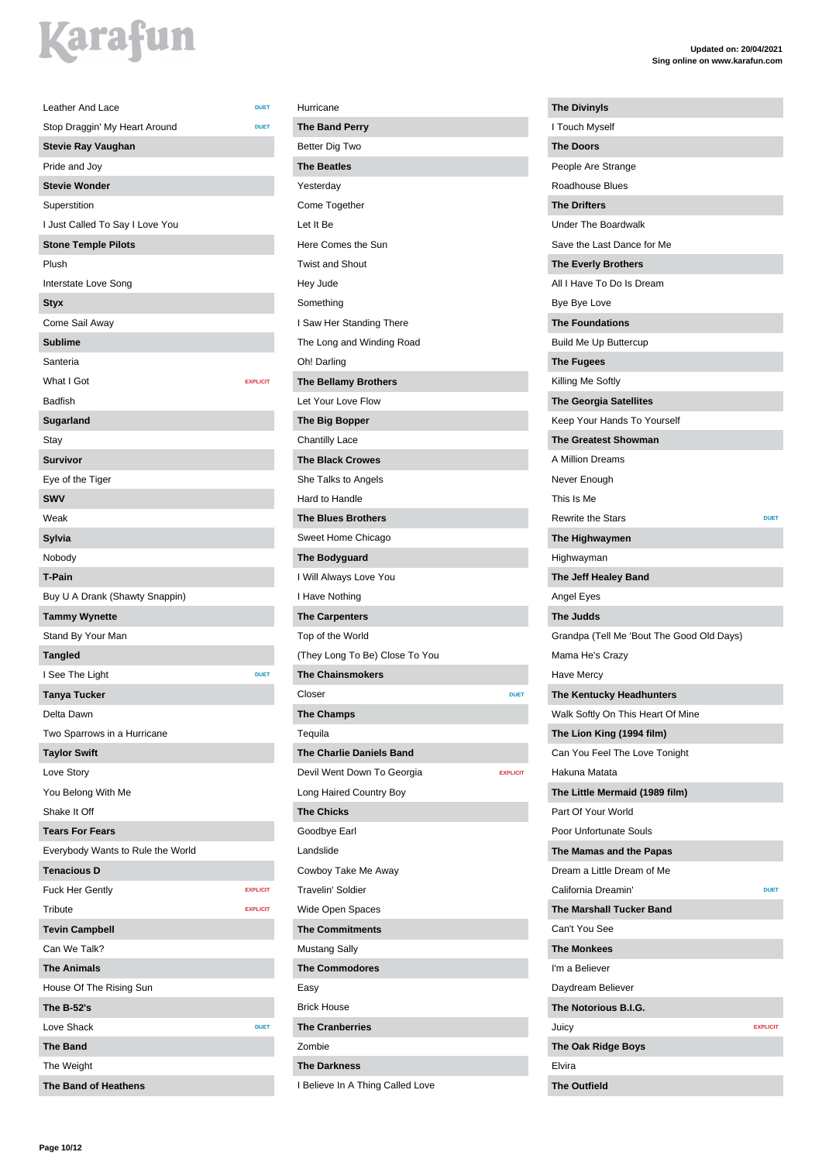| Leather And Lace                                           | <b>DUET</b>     |
|------------------------------------------------------------|-----------------|
|                                                            | <b>DUET</b>     |
| Stop Draggin' My Heart Around<br><b>Stevie Ray Vaughan</b> |                 |
| Pride and Jov                                              |                 |
| <b>Stevie Wonder</b>                                       |                 |
|                                                            |                 |
| Superstition                                               |                 |
| I Just Called To Say I Love You                            |                 |
| <b>Stone Temple Pilots</b>                                 |                 |
| Plush                                                      |                 |
| Interstate Love Song                                       |                 |
| <b>Styx</b>                                                |                 |
| Come Sail Away                                             |                 |
| <b>Sublime</b>                                             |                 |
| Santeria                                                   |                 |
| What I Got                                                 | <b>EXPLICIT</b> |
| <b>Badfish</b>                                             |                 |
| Sugarland                                                  |                 |
| Stay                                                       |                 |
| <b>Survivor</b>                                            |                 |
| Eye of the Tiger                                           |                 |
| <b>SWV</b>                                                 |                 |
| Weak                                                       |                 |
| Sylvia                                                     |                 |
| Nobody                                                     |                 |
| <b>T-Pain</b>                                              |                 |
| Buy U A Drank (Shawty Snappin)                             |                 |
| <b>Tammy Wynette</b>                                       |                 |
| Stand By Your Man                                          |                 |
| <b>Tangled</b>                                             |                 |
| I See The Light                                            | <b>DUET</b>     |
| <b>Tanya Tucker</b>                                        |                 |
| Delta Dawn                                                 |                 |
| Two Sparrows in a Hurricane                                |                 |
| <b>Taylor Swift</b>                                        |                 |
| Love Story                                                 |                 |
| You Belong With Me                                         |                 |
| Shake It Off                                               |                 |
| <b>Tears For Fears</b>                                     |                 |
| Everybody Wants to Rule the World                          |                 |
| <b>Tenacious D</b>                                         |                 |
| <b>Fuck Her Gently</b>                                     | <b>EXPLICIT</b> |
| Tribute                                                    | <b>EXPLICIT</b> |
| <b>Tevin Campbell</b>                                      |                 |
| Can We Talk?                                               |                 |
| <b>The Animals</b>                                         |                 |
| House Of The Rising Sun                                    |                 |
| The B-52's                                                 |                 |
| Love Shack                                                 | <b>DUET</b>     |
| <b>The Band</b>                                            |                 |
| The Weight                                                 |                 |
| The Band of Heathens                                       |                 |

### Hurricane **The Band Perry** Better Dig Two **The Beatles** Yesterday Come Together Let It Be Here Comes the Sun Twist and Shout Hey Jude Something I Saw Her Standing There The Long and Winding Road Oh! Darling **The Bellamy Brothers** Let Your Love Flow **The Big Bopper** Chantilly Lace **The Black Crowes** She Talks to Angels Hard to Handle **The Blues Brothers** Sweet Home Chicago **The Bodyguard** I Will Always Love You I Have Nothing **The Carpenters** Top of the World (They Long To Be) Close To You **The Chainsmokers Closer DUET The Champs** Tequila **The Charlie Daniels Band** Devil Went Down To Georgia **EXPLICIT** Long Haired Country Boy **The Chicks** Goodbye Earl Landslide Cowboy Take Me Away Travelin' Soldier Wide Open Spaces **The Commitments** Mustang Sally **The Commodores** Easy Brick House **The Cranberries** Zombie **The Darkness** I Believe In A Thing Called Love

| <b>The Divinyls</b>                       |                 |
|-------------------------------------------|-----------------|
| I Touch Myself                            |                 |
| <b>The Doors</b>                          |                 |
| People Are Strange                        |                 |
| Roadhouse Blues                           |                 |
| <b>The Drifters</b>                       |                 |
| <b>Under The Boardwalk</b>                |                 |
| Save the Last Dance for Me                |                 |
| <b>The Everly Brothers</b>                |                 |
| All I Have To Do Is Dream                 |                 |
| Bye Bye Love                              |                 |
| <b>The Foundations</b>                    |                 |
| <b>Build Me Up Buttercup</b>              |                 |
| <b>The Fugees</b>                         |                 |
| Killing Me Softly                         |                 |
| <b>The Georgia Satellites</b>             |                 |
| Keep Your Hands To Yourself               |                 |
| <b>The Greatest Showman</b>               |                 |
| A Million Dreams                          |                 |
| Never Enough                              |                 |
| This Is Me                                |                 |
| <b>Rewrite the Stars</b>                  | <b>DUET</b>     |
| The Highwaymen                            |                 |
| Highwayman                                |                 |
| The Jeff Healey Band                      |                 |
| Angel Eyes                                |                 |
| <b>The Judds</b>                          |                 |
| Grandpa (Tell Me 'Bout The Good Old Days) |                 |
| Mama He's Crazy                           |                 |
| <b>Have Mercy</b>                         |                 |
| The Kentucky Headhunters                  |                 |
| Walk Softly On This Heart Of Mine         |                 |
| The Lion King (1994 film)                 |                 |
| Can You Feel The Love Tonight             |                 |
| Hakuna Matata                             |                 |
| The Little Mermaid (1989 film)            |                 |
| Part Of Your World                        |                 |
| Poor Unfortunate Souls                    |                 |
| The Mamas and the Papas                   |                 |
| Dream a Little Dream of Me                |                 |
| California Dreamin'                       | <b>DUET</b>     |
| <b>The Marshall Tucker Band</b>           |                 |
| Can't You See                             |                 |
| <b>The Monkees</b>                        |                 |
| I'm a Believer                            |                 |
|                                           |                 |
| Daydream Believer                         |                 |
| The Notorious B.I.G.                      | <b>EXPLICIT</b> |
| Juicy                                     |                 |
| <b>The Oak Ridge Boys</b><br>Elvira       |                 |
|                                           |                 |
| The Outfield                              |                 |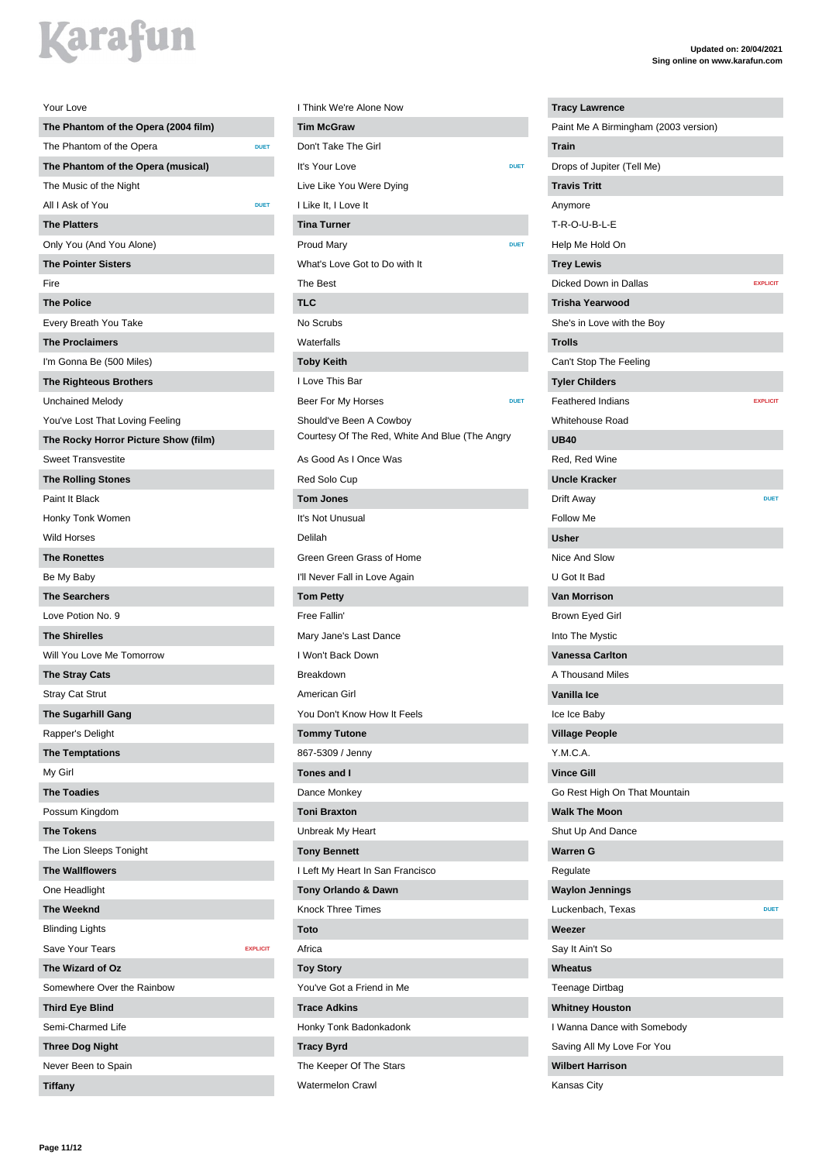| Your Love                            |                 |
|--------------------------------------|-----------------|
| The Phantom of the Opera (2004 film) |                 |
| The Phantom of the Opera             | <b>DUET</b>     |
| The Phantom of the Opera (musical)   |                 |
| The Music of the Night               |                 |
| All I Ask of You                     | <b>DUET</b>     |
| <b>The Platters</b>                  |                 |
| Only You (And You Alone)             |                 |
| <b>The Pointer Sisters</b>           |                 |
| Fire                                 |                 |
| <b>The Police</b>                    |                 |
| Every Breath You Take                |                 |
| <b>The Proclaimers</b>               |                 |
| I'm Gonna Be (500 Miles)             |                 |
| <b>The Righteous Brothers</b>        |                 |
| <b>Unchained Melody</b>              |                 |
| You've Lost That Loving Feeling      |                 |
| The Rocky Horror Picture Show (film) |                 |
| <b>Sweet Transvestite</b>            |                 |
| <b>The Rolling Stones</b>            |                 |
| Paint It Black                       |                 |
| Honky Tonk Women                     |                 |
| <b>Wild Horses</b>                   |                 |
| <b>The Ronettes</b>                  |                 |
| Be My Baby                           |                 |
| <b>The Searchers</b>                 |                 |
| Love Potion No. 9                    |                 |
| <b>The Shirelles</b>                 |                 |
| Will You Love Me Tomorrow            |                 |
| <b>The Stray Cats</b>                |                 |
| <b>Stray Cat Strut</b>               |                 |
| <b>The Sugarhill Gang</b>            |                 |
| Rapper's Delight                     |                 |
| <b>The Temptations</b>               |                 |
| My Girl                              |                 |
| <b>The Toadies</b>                   |                 |
| Possum Kingdom                       |                 |
| <b>The Tokens</b>                    |                 |
| The Lion Sleeps Tonight              |                 |
| <b>The Wallflowers</b>               |                 |
| One Headlight                        |                 |
| <b>The Weeknd</b>                    |                 |
| <b>Blinding Lights</b>               |                 |
| <b>Save Your Tears</b>               | <b>EXPLICIT</b> |
| The Wizard of Oz                     |                 |
| Somewhere Over the Rainbow           |                 |
| <b>Third Eye Blind</b>               |                 |
| Semi-Charmed Life                    |                 |
| <b>Three Dog Night</b>               |                 |
| Never Been to Spain                  |                 |
| <b>Tiffany</b>                       |                 |

| I Think We're Alone Now                        |
|------------------------------------------------|
| <b>Tim McGraw</b>                              |
| Don't Take The Girl                            |
| It's Your Love<br><b>DUET</b>                  |
| Live Like You Were Dying                       |
| I Like It, I Love It                           |
| <b>Tina Turner</b>                             |
| <b>Proud Mary</b><br><b>DUET</b>               |
| What's Love Got to Do with It                  |
| The Best                                       |
| TLC                                            |
| No Scrubs                                      |
| Waterfalls                                     |
| <b>Toby Keith</b>                              |
| I Love This Bar                                |
| Beer For My Horses<br><b>DUET</b>              |
| Should've Been A Cowboy                        |
| Courtesy Of The Red, White And Blue (The Angry |
| As Good As I Once Was                          |
| Red Solo Cup                                   |
| <b>Tom Jones</b>                               |
| It's Not Unusual                               |
| Delilah                                        |
| Green Green Grass of Home                      |
| I'll Never Fall in Love Again                  |
| <b>Tom Petty</b>                               |
| Free Fallin'                                   |
| Mary Jane's Last Dance                         |
| I Won't Back Down                              |
| Breakdown                                      |
| American Girl                                  |
| You Don't Know How It Feels                    |
| <b>Tommy Tutone</b>                            |
| 867-5309 / Jenny                               |
| <b>Tones and I</b>                             |
| Dance Monkey                                   |
| <b>Toni Braxton</b>                            |
| Unbreak My Heart                               |
| <b>Tony Bennett</b>                            |
| I Left My Heart In San Francisco               |
| Tony Orlando & Dawn                            |
| <b>Knock Three Times</b>                       |
| Toto                                           |
| Africa                                         |
| <b>Toy Story</b>                               |
| You've Got a Friend in Me                      |
| <b>Trace Adkins</b>                            |
| Honky Tonk Badonkadonk                         |
| <b>Tracy Byrd</b>                              |
| The Keeper Of The Stars                        |
| <b>Watermelon Crawl</b>                        |

| <b>Tracy Lawrence</b>                |                 |
|--------------------------------------|-----------------|
| Paint Me A Birmingham (2003 version) |                 |
| <b>Train</b>                         |                 |
| Drops of Jupiter (Tell Me)           |                 |
| <b>Travis Tritt</b>                  |                 |
| Anymore                              |                 |
| T-R-O-U-B-L-E                        |                 |
| Help Me Hold On                      |                 |
| <b>Trey Lewis</b>                    |                 |
| Dicked Down in Dallas                | <b>EXPLICIT</b> |
| <b>Trisha Yearwood</b>               |                 |
| She's in Love with the Boy           |                 |
| <b>Trolls</b>                        |                 |
| Can't Stop The Feeling               |                 |
| <b>Tyler Childers</b>                |                 |
| <b>Feathered Indians</b>             | <b>EXPLICIT</b> |
| Whitehouse Road                      |                 |
| <b>UB40</b>                          |                 |
| Red, Red Wine                        |                 |
| <b>Uncle Kracker</b>                 |                 |
| Drift Away                           | <b>DUET</b>     |
| <b>Follow Me</b>                     |                 |
| Usher                                |                 |
| Nice And Slow                        |                 |
| U Got It Bad                         |                 |
| <b>Van Morrison</b>                  |                 |
| Brown Eyed Girl                      |                 |
| Into The Mystic                      |                 |
| <b>Vanessa Carlton</b>               |                 |
| A Thousand Miles                     |                 |
| Vanilla Ice                          |                 |
| Ice Ice Baby                         |                 |
| <b>Village People</b>                |                 |
| Y.M.C.A.                             |                 |
| <b>Vince Gill</b>                    |                 |
| Go Rest High On That Mountain        |                 |
| <b>Walk The Moon</b>                 |                 |
| Shut Up And Dance                    |                 |
| <b>Warren G</b>                      |                 |
| Regulate                             |                 |
| <b>Waylon Jennings</b>               |                 |
| Luckenbach, Texas                    | <b>DUET</b>     |
| Weezer                               |                 |
| Say It Ain't So                      |                 |
| Wheatus                              |                 |
| Teenage Dirtbag                      |                 |
| <b>Whitney Houston</b>               |                 |
|                                      |                 |
| I Wanna Dance with Somebody          |                 |
| Saving All My Love For You           |                 |
| <b>Wilbert Harrison</b>              |                 |